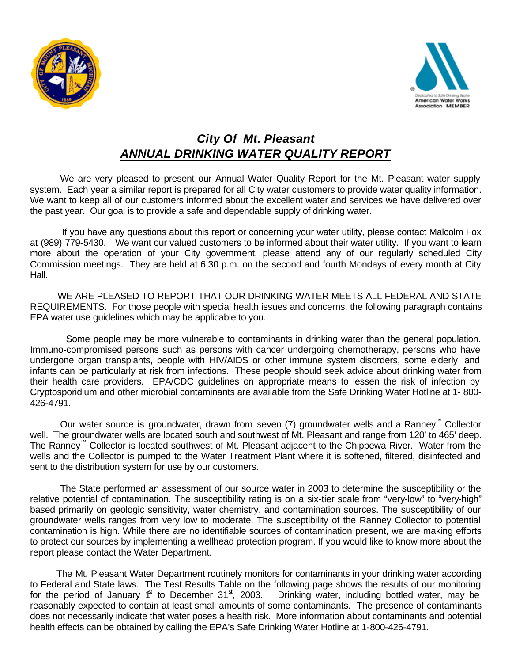



## *City Of Mt. Pleasant ANNUAL DRINKING WATER QUALITY REPORT*

We are very pleased to present our Annual Water Quality Report for the Mt. Pleasant water supply system. Each year a similar report is prepared for all City water customers to provide water quality information. We want to keep all of our customers informed about the excellent water and services we have delivered over the past year. Our goal is to provide a safe and dependable supply of drinking water.

 If you have any questions about this report or concerning your water utility, please contact Malcolm Fox at (989) 779-5430.We want our valued customers to be informed about their water utility. If you want to learn more about the operation of your City government, please attend any of our regularly scheduled City Commission meetings. They are held at 6:30 p.m. on the second and fourth Mondays of every month at City Hall.

WE ARE PLEASED TO REPORT THAT OUR DRINKING WATER MEETS ALL FEDERAL AND STATE REQUIREMENTS. For those people with special health issues and concerns, the following paragraph contains EPA water use guidelines which may be applicable to you.

 Some people may be more vulnerable to contaminants in drinking water than the general population. Immuno-compromised persons such as persons with cancer undergoing chemotherapy, persons who have undergone organ transplants, people with HIV/AIDS or other immune system disorders, some elderly, and infants can be particularly at risk from infections. These people should seek advice about drinking water from their health care providers. EPA/CDC guidelines on appropriate means to lessen the risk of infection by Cryptosporidium and other microbial contaminants are available from the Safe Drinking Water Hotline at 1- 800- 426-4791.

Our water source is groundwater, drawn from seven (7) groundwater wells and a Ranney™ Collector well. The groundwater wells are located south and southwest of Mt. Pleasant and range from 120' to 465' deep. The Ranney<sup>™</sup> Collector is located southwest of Mt. Pleasant adjacent to the Chippewa River. Water from the wells and the Collector is pumped to the Water Treatment Plant where it is softened, filtered, disinfected and sent to the distribution system for use by our customers.

The State performed an assessment of our source water in 2003 to determine the susceptibility or the relative potential of contamination. The susceptibility rating is on a six-tier scale from "very-low" to "very-high" based primarily on geologic sensitivity, water chemistry, and contamination sources. The susceptibility of our groundwater wells ranges from very low to moderate. The susceptibility of the Ranney Collector to potential contamination is high. While there are no identifiable sources of contamination present, we are making efforts to protect our sources by implementing a wellhead protection program. If you would like to know more about the report please contact the Water Department.

The Mt. Pleasant Water Department routinely monitors for contaminants in your drinking water according to Federal and State laws. The Test Results Table on the following page shows the results of our monitoring for the period of January  $f^{\text{t}}$  to December 31<sup>st</sup>, 2003. Drinking water, including bottled water, may be reasonably expected to contain at least small amounts of some contaminants. The presence of contaminants does not necessarily indicate that water poses a health risk. More information about contaminants and potential health effects can be obtained by calling the EPA's Safe Drinking Water Hotline at 1-800-426-4791.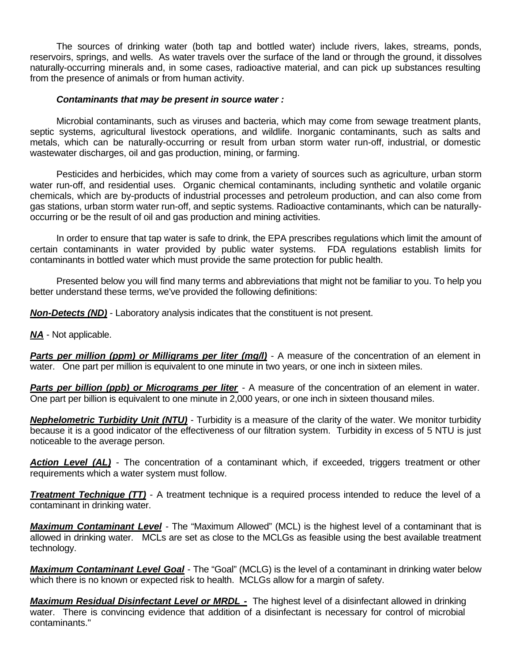The sources of drinking water (both tap and bottled water) include rivers, lakes, streams, ponds, reservoirs, springs, and wells. As water travels over the surface of the land or through the ground, it dissolves naturally-occurring minerals and, in some cases, radioactive material, and can pick up substances resulting from the presence of animals or from human activity.

## *Contaminants that may be present in source water :*

Microbial contaminants, such as viruses and bacteria, which may come from sewage treatment plants, septic systems, agricultural livestock operations, and wildlife. Inorganic contaminants, such as salts and metals, which can be naturally-occurring or result from urban storm water run-off, industrial, or domestic wastewater discharges, oil and gas production, mining, or farming.

Pesticides and herbicides, which may come from a variety of sources such as agriculture, urban storm water run-off, and residential uses. Organic chemical contaminants, including synthetic and volatile organic chemicals, which are by-products of industrial processes and petroleum production, and can also come from gas stations, urban storm water run-off, and septic systems. Radioactive contaminants, which can be naturallyoccurring or be the result of oil and gas production and mining activities.

In order to ensure that tap water is safe to drink, the EPA prescribes regulations which limit the amount of certain contaminants in water provided by public water systems. FDA regulations establish limits for contaminants in bottled water which must provide the same protection for public health.

Presented below you will find many terms and abbreviations that might not be familiar to you. To help you better understand these terms, we've provided the following definitions:

*Non-Detects (ND)* - Laboratory analysis indicates that the constituent is not present.

*NA* - Not applicable.

**Parts per million (ppm) or Milligrams per liter (mg/l)** - A measure of the concentration of an element in water. One part per million is equivalent to one minute in two years, or one inch in sixteen miles.

**Parts per billion (ppb) or Micrograms per liter** - A measure of the concentration of an element in water. One part per billion is equivalent to one minute in 2,000 years, or one inch in sixteen thousand miles.

*Nephelometric Turbidity Unit (NTU)* - Turbidity is a measure of the clarity of the water. We monitor turbidity because it is a good indicator of the effectiveness of our filtration system. Turbidity in excess of 5 NTU is just noticeable to the average person.

*Action Level (AL)* - The concentration of a contaminant which, if exceeded, triggers treatment or other requirements which a water system must follow.

*Treatment Technique (TT)* - A treatment technique is a required process intended to reduce the level of a contaminant in drinking water.

*Maximum Contaminant Level* - The "Maximum Allowed" (MCL) is the highest level of a contaminant that is allowed in drinking water. MCLs are set as close to the MCLGs as feasible using the best available treatment technology.

*Maximum Contaminant Level Goal* - The "Goal" (MCLG) is the level of a contaminant in drinking water below which there is no known or expected risk to health. MCLGs allow for a margin of safety.

*Maximum Residual Disinfectant Level or MRDL -* The highest level of a disinfectant allowed in drinking water. There is convincing evidence that addition of a disinfectant is necessary for control of microbial contaminants."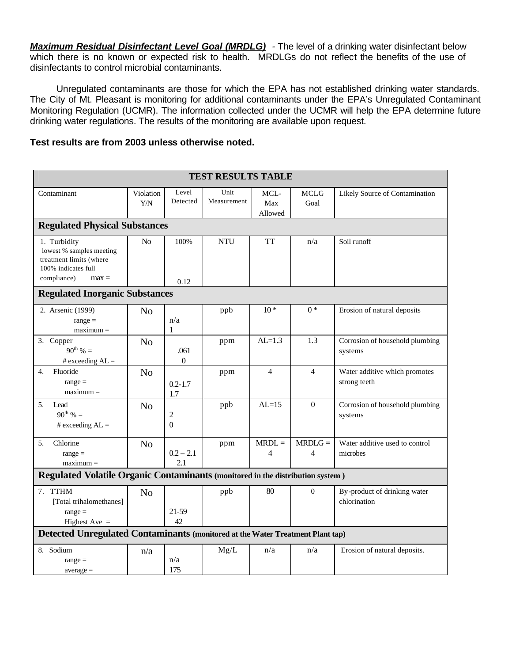*Maximum Residual Disinfectant Level Goal (MRDLG) -* The level of a drinking water disinfectant below which there is no known or expected risk to health. MRDLGs do not reflect the benefits of the use of disinfectants to control microbial contaminants.

Unregulated contaminants are those for which the EPA has not established drinking water standards. The City of Mt. Pleasant is monitoring for additional contaminants under the EPA's Unregulated Contaminant Monitoring Regulation (UCMR). The information collected under the UCMR will help the EPA determine future drinking water regulations. The results of the monitoring are available upon request.

## **Test results are from 2003 unless otherwise noted.**

| <b>TEST RESULTS TABLE</b>                                                                  |                  |                            |                     |                        |                     |                                               |
|--------------------------------------------------------------------------------------------|------------------|----------------------------|---------------------|------------------------|---------------------|-----------------------------------------------|
| Contaminant                                                                                | Violation<br>Y/N | Level<br>Detected          | Unit<br>Measurement | MCL-<br>Max<br>Allowed | <b>MCLG</b><br>Goal | Likely Source of Contamination                |
| <b>Regulated Physical Substances</b>                                                       |                  |                            |                     |                        |                     |                                               |
| 1. Turbidity<br>lowest % samples meeting<br>treatment limits (where<br>100% indicates full | No               | 100%                       | <b>NTU</b>          | <b>TT</b>              | n/a                 | Soil runoff                                   |
| compliance)<br>$max =$                                                                     |                  | 0.12                       |                     |                        |                     |                                               |
| <b>Regulated Inorganic Substances</b>                                                      |                  |                            |                     |                        |                     |                                               |
| 2. Arsenic (1999)<br>$range =$<br>$maximum =$                                              | N <sub>o</sub>   | n/a<br>1                   | ppb                 | $10*$                  | $0*$                | Erosion of natural deposits                   |
| 3. Copper<br>$90^{th}$ % =<br># exceeding $AL =$                                           | N <sub>o</sub>   | .061<br>$\boldsymbol{0}$   | ppm                 | $AL=1.3$               | 1.3                 | Corrosion of household plumbing<br>systems    |
| Fluoride<br>4.<br>$range =$<br>$maximum =$                                                 | N <sub>o</sub>   | $0.2 - 1.7$<br>1.7         | ppm                 | $\overline{4}$         | $\overline{4}$      | Water additive which promotes<br>strong teeth |
| 5.<br>Lead<br>$90^{th}$ % =<br># exceeding $AL =$                                          | N <sub>0</sub>   | $\overline{2}$<br>$\theta$ | ppb                 | $AL=15$                | $\overline{0}$      | Corrosion of household plumbing<br>systems    |
| Chlorine<br>5.<br>$range =$<br>$maximum =$                                                 | N <sub>o</sub>   | $0.2 - 2.1$<br>2.1         | ppm                 | $MRDL =$<br>4          | $MRDLG =$<br>4      | Water additive used to control<br>microbes    |
| <b>Regulated Volatile Organic Contaminants (monitored in the distribution system)</b>      |                  |                            |                     |                        |                     |                                               |
| 7. TTHM<br>[Total trihalomethanes]<br>$range =$<br>Highest Ave $=$                         | N <sub>o</sub>   | 21-59<br>42                | ppb                 | 80                     | $\Omega$            | By-product of drinking water<br>chlorination  |
| Detected Unregulated Contaminants (monitored at the Water Treatment Plant tap)             |                  |                            |                     |                        |                     |                                               |
| 8. Sodium<br>$range =$<br>$average =$                                                      | n/a              | n/a<br>175                 | Mg/L                | n/a                    | n/a                 | Erosion of natural deposits.                  |